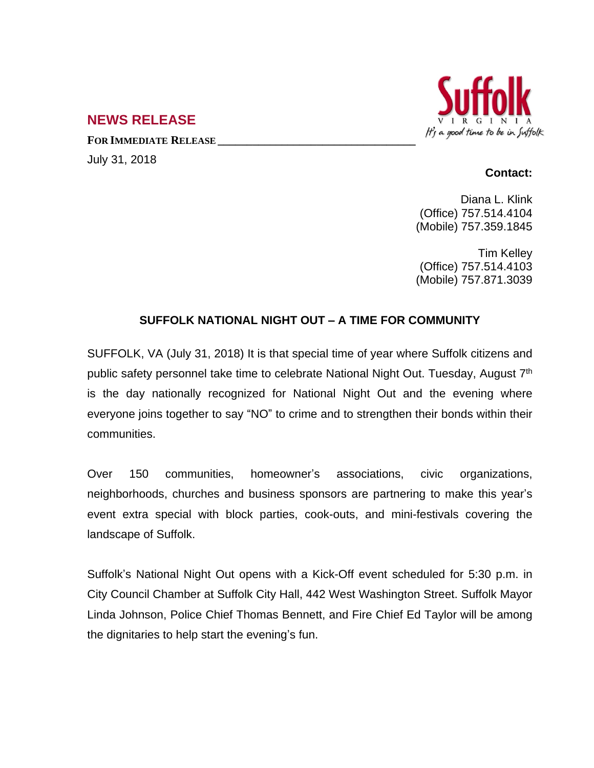## It's a good time to be in Suffolk

## **NEWS RELEASE**

**FOR IMMEDIATE RELEASE \_\_\_\_\_\_\_\_\_\_\_\_\_\_\_\_\_\_\_\_\_\_\_\_\_\_\_\_\_\_\_\_\_\_** July 31, 2018

## **Contact:**

Diana L. Klink (Office) 757.514.4104 (Mobile) 757.359.1845

Tim Kelley (Office) 757.514.4103 (Mobile) 757.871.3039

## **SUFFOLK NATIONAL NIGHT OUT – A TIME FOR COMMUNITY**

SUFFOLK, VA (July 31, 2018) It is that special time of year where Suffolk citizens and public safety personnel take time to celebrate National Night Out. Tuesday, August 7<sup>th</sup> is the day nationally recognized for National Night Out and the evening where everyone joins together to say "NO" to crime and to strengthen their bonds within their communities.

Over 150 communities, homeowner's associations, civic organizations, neighborhoods, churches and business sponsors are partnering to make this year's event extra special with block parties, cook-outs, and mini-festivals covering the landscape of Suffolk.

Suffolk's National Night Out opens with a Kick-Off event scheduled for 5:30 p.m. in City Council Chamber at Suffolk City Hall, 442 West Washington Street. Suffolk Mayor Linda Johnson, Police Chief Thomas Bennett, and Fire Chief Ed Taylor will be among the dignitaries to help start the evening's fun.